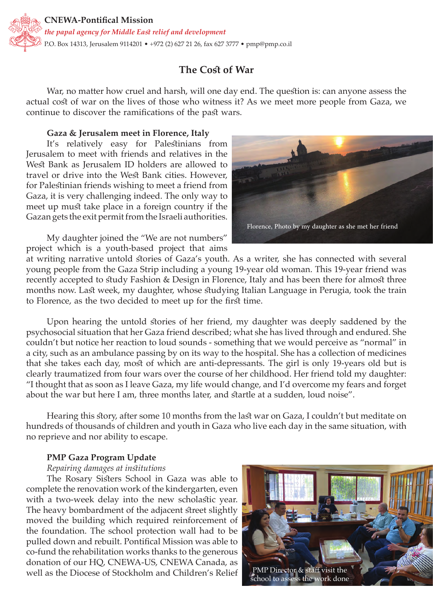

# **The Cost of War**

War, no matter how cruel and harsh, will one day end. The question is: can anyone assess the actual cost of war on the lives of those who witness it? As we meet more people from Gaza, we continue to discover the ramifications of the past wars.

#### **Gaza & Jerusalem meet in Florence, Italy**

It's relatively easy for Palestinians from Jerusalem to meet with friends and relatives in the West Bank as Jerusalem ID holders are allowed to travel or drive into the West Bank cities. However, for Palestinian friends wishing to meet a friend from Gaza, it is very challenging indeed. The only way to meet up must take place in a foreign country if the Gazan gets the exit permit from the Israeli authorities.

My daughter joined the "We are not numbers" project which is a youth-based project that aims

at writing narrative untold stories of Gaza's youth. As a writer, she has connected with several young people from the Gaza Strip including a young 19-year old woman. This 19-year friend was recently accepted to study Fashion & Design in Florence, Italy and has been there for almost three months now. Last week, my daughter, whose studying Italian Language in Perugia, took the train to Florence, as the two decided to meet up for the first time.

Upon hearing the untold stories of her friend, my daughter was deeply saddened by the psychosocial situation that her Gaza friend described; what she has lived through and endured. She couldn't but notice her reaction to loud sounds - something that we would perceive as "normal" in a city, such as an ambulance passing by on its way to the hospital. She has a collection of medicines that she takes each day, most of which are anti-depressants. The girl is only 19-years old but is clearly traumatized from four wars over the course of her childhood. Her friend told my daughter: "I thought that as soon as I leave Gaza, my life would change, and I'd overcome my fears and forget about the war but here I am, three months later, and startle at a sudden, loud noise".

Hearing this story, after some 10 months from the last war on Gaza, I couldn't but meditate on hundreds of thousands of children and youth in Gaza who live each day in the same situation, with no reprieve and nor ability to escape.

#### **PMP Gaza Program Update**

#### *Repairing damages at institutions*

The Rosary Sisters School in Gaza was able to complete the renovation work of the kindergarten, even with a two-week delay into the new scholastic year. The heavy bombardment of the adjacent street slightly moved the building which required reinforcement of the foundation. The school protection wall had to be pulled down and rebuilt. Pontifical Mission was able to co-fund the rehabilitation works thanks to the generous donation of our HQ, CNEWA-US, CNEWA Canada, as well as the Diocese of Stockholm and Children's Relief



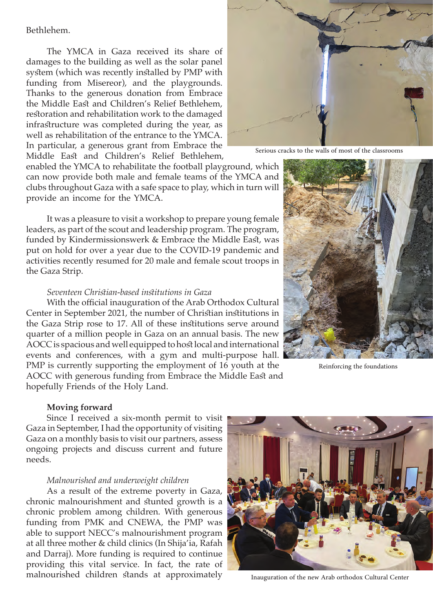## Bethlehem.

The YMCA in Gaza received its share of damages to the building as well as the solar panel system (which was recently installed by PMP with funding from Misereor), and the playgrounds. Thanks to the generous donation from Embrace the Middle East and Children's Relief Bethlehem, restoration and rehabilitation work to the damaged infrastructure was completed during the year, as well as rehabilitation of the entrance to the YMCA. In particular, a generous grant from Embrace the Middle East and Children's Relief Bethlehem,

enabled the YMCA to rehabilitate the football playground, which can now provide both male and female teams of the YMCA and clubs throughout Gaza with a safe space to play, which in turn will provide an income for the YMCA.

It was a pleasure to visit a workshop to prepare young female leaders, as part of the scout and leadership program. The program, funded by Kindermissionswerk & Embrace the Middle East, was put on hold for over a year due to the COVID-19 pandemic and activities recently resumed for 20 male and female scout troops in the Gaza Strip.

#### *Seventeen Christian-based institutions in Gaza*

With the official inauguration of the Arab Orthodox Cultural Center in September 2021, the number of Christian institutions in the Gaza Strip rose to 17. All of these institutions serve around quarter of a million people in Gaza on an annual basis. The new AOCC is spacious and well equipped to host local and international events and conferences, with a gym and multi-purpose hall. PMP is currently supporting the employment of 16 youth at the AOCC with generous funding from Embrace the Middle East and hopefully Friends of the Holy Land.



Serious cracks to the walls of most of the classrooms



Reinforcing the foundations

#### **Moving forward**

Since I received a six-month permit to visit Gaza in September, I had the opportunity of visiting Gaza on a monthly basis to visit our partners, assess ongoing projects and discuss current and future needs.

#### *Malnourished and underweight children*

As a result of the extreme poverty in Gaza, chronic malnourishment and stunted growth is a chronic problem among children. With generous funding from PMK and CNEWA, the PMP was able to support NECC's malnourishment program at all three mother & child clinics (In Shija'ia, Rafah and Darraj). More funding is required to continue providing this vital service. In fact, the rate of malnourished children stands at approximately



Inauguration of the new Arab orthodox Cultural Center